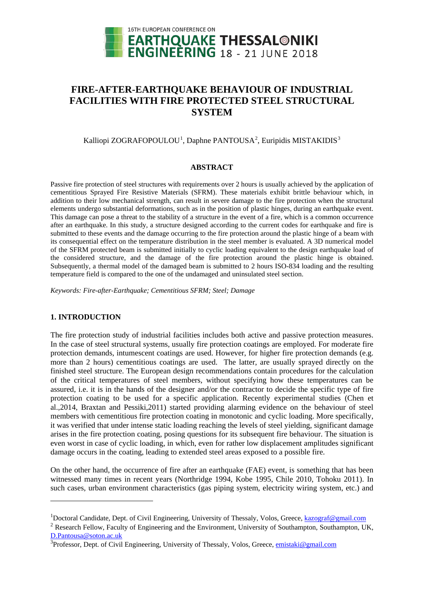

# **FIRE-AFTER-EARTHQUAKE BEHAVIOUR OF INDUSTRIAL FACILITIES WITH FIRE PROTECTED STEEL STRUCTURAL SYSTEM**

## Kalliopi ZOGRAFOPOULOU<sup>[1](#page-0-0)</sup>, Daphne PANTOUSA<sup>[2](#page-0-1)</sup>, Euripidis MISTAKIDIS<sup>[3](#page-0-2)</sup>

## **ABSTRACT**

Passive fire protection of steel structures with requirements over 2 hours is usually achieved by the application of cementitious Sprayed Fire Resistive Materials (SFRM). These materials exhibit brittle behaviour which, in addition to their low mechanical strength, can result in severe damage to the fire protection when the structural elements undergo substantial deformations, such as in the position of plastic hinges, during an earthquake event. This damage can pose a threat to the stability of a structure in the event of a fire, which is a common occurrence after an earthquake. In this study, a structure designed according to the current codes for earthquake and fire is submitted to these events and the damage occurring to the fire protection around the plastic hinge of a beam with its consequential effect on the temperature distribution in the steel member is evaluated. A 3D numerical model of the SFRM protected beam is submitted initially to cyclic loading equivalent to the design earthquake load of the considered structure, and the damage of the fire protection around the plastic hinge is obtained. Subsequently, a thermal model of the damaged beam is submitted to 2 hours ISO-834 loading and the resulting temperature field is compared to the one of the undamaged and uninsulated steel section.

*Keywords: Fire-after-Earthquake; Cementitious SFRM; Steel; Damage*

## **1. INTRODUCTION**

<u>.</u>

The fire protection study of industrial facilities includes both active and passive protection measures. In the case of steel structural systems, usually fire protection coatings are employed. For moderate fire protection demands, intumescent coatings are used. However, for higher fire protection demands (e.g. more than 2 hours) cementitious coatings are used. The latter, are usually sprayed directly on the finished steel structure. The European design recommendations contain procedures for the calculation of the critical temperatures of steel members, without specifying how these temperatures can be assured, i.e. it is in the hands of the designer and/or the contractor to decide the specific type of fire protection coating to be used for a specific application. Recently experimental studies (Chen et al.,2014, Braxtan and Pessiki,2011) started providing alarming evidence on the behaviour of steel members with cementitious fire protection coating in monotonic and cyclic loading. More specifically, it was verified that under intense static loading reaching the levels of steel yielding, significant damage arises in the fire protection coating, posing questions for its subsequent fire behaviour. The situation is even worst in case of cyclic loading, in which, even for rather low displacement amplitudes significant damage occurs in the coating, leading to extended steel areas exposed to a possible fire.

On the other hand, the occurrence of fire after an earthquake (FAE) event, is something that has been witnessed many times in recent years (Northridge 1994, Kobe 1995, Chile 2010, Tohoku 2011). In such cases, urban environment characteristics (gas piping system, electricity wiring system, etc.) and

<span id="page-0-1"></span> $2$  Research Fellow, Faculty of Engineering and the Environment, University of Southampton, Southampton, UK, D.Pantousa@soton.ac.uk

<span id="page-0-0"></span><sup>&</sup>lt;sup>1</sup>Doctoral Candidate, Dept. of Civil Engineering, University of Thessaly, Volos, Greece, [kazograf@g](mailto:kazograf@)mail.com

<span id="page-0-2"></span><sup>&</sup>lt;sup>3</sup>Professor, Dept. of Civil Engineering, University of Thessaly, Volos, Greece, **emistaki@gmail.com**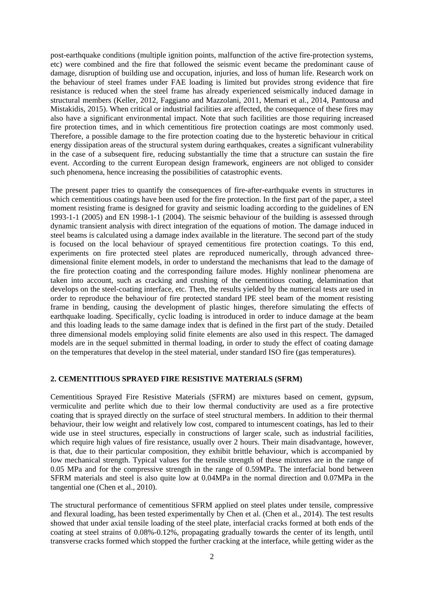post-earthquake conditions (multiple ignition points, malfunction of the active fire-protection systems, etc) were combined and the fire that followed the seismic event became the predominant cause of damage, disruption of building use and occupation, injuries, and loss of human life. Research work on the behaviour of steel frames under FAE loading is limited but provides strong evidence that fire resistance is reduced when the steel frame has already experienced seismically induced damage in structural members (Keller, 2012, Faggiano and Mazzolani, 2011, Memari et al., 2014, Pantousa and Mistakidis, 2015). When critical or industrial facilities are affected, the consequence of these fires may also have a significant environmental impact. Note that such facilities are those requiring increased fire protection times, and in which cementitious fire protection coatings are most commonly used. Therefore, a possible damage to the fire protection coating due to the hysteretic behaviour in critical energy dissipation areas of the structural system during earthquakes, creates a significant vulnerability in the case of a subsequent fire, reducing substantially the time that a structure can sustain the fire event. According to the current European design framework, engineers are not obliged to consider such phenomena, hence increasing the possibilities of catastrophic events.

The present paper tries to quantify the consequences of fire-after-earthquake events in structures in which cementitious coatings have been used for the fire protection. In the first part of the paper, a steel moment resisting frame is designed for gravity and seismic loading according to the guidelines of EN 1993-1-1 (2005) and EN 1998-1-1 (2004). The seismic behaviour of the building is assessed through dynamic transient analysis with direct integration of the equations of motion. The damage induced in steel beams is calculated using a damage index available in the literature. The second part of the study is focused on the local behaviour of sprayed cementitious fire protection coatings. To this end, experiments on fire protected steel plates are reproduced numerically, through advanced threedimensional finite element models, in order to understand the mechanisms that lead to the damage of the fire protection coating and the corresponding failure modes. Highly nonlinear phenomena are taken into account, such as cracking and crushing of the cementitious coating, delamination that develops on the steel-coating interface, etc. Then, the results yielded by the numerical tests are used in order to reproduce the behaviour of fire protected standard IPE steel beam of the moment resisting frame in bending, causing the development of plastic hinges, therefore simulating the effects of earthquake loading. Specifically, cyclic loading is introduced in order to induce damage at the beam and this loading leads to the same damage index that is defined in the first part of the study. Detailed three dimensional models employing solid finite elements are also used in this respect. The damaged models are in the sequel submitted in thermal loading, in order to study the effect of coating damage on the temperatures that develop in the steel material, under standard ISO fire (gas temperatures).

## **2. CEMENTITIOUS SPRAYED FIRE RESISTIVE MATERIALS (SFRM)**

Cementitious Sprayed Fire Resistive Materials (SFRM) are mixtures based on cement, gypsum, vermiculite and perlite which due to their low thermal conductivity are used as a fire protective coating that is sprayed directly on the surface of steel structural members. In addition to their thermal behaviour, their low weight and relatively low cost, compared to intumescent coatings, has led to their wide use in steel structures, especially in constructions of larger scale, such as industrial facilities, which require high values of fire resistance, usually over 2 hours. Their main disadvantage, however, is that, due to their particular composition, they exhibit brittle behaviour, which is accompanied by low mechanical strength. Typical values for the tensile strength of these mixtures are in the range of 0.05 MPa and for the compressive strength in the range of 0.59MPa. The interfacial bond between SFRM materials and steel is also quite low at 0.04MPa in the normal direction and 0.07MPa in the tangential one (Chen et al., 2010).

The structural performance of cementitious SFRM applied on steel plates under tensile, compressive and flexural loading, has been tested experimentally by Chen et al. (Chen et al., 2014). The test results showed that under axial tensile loading of the steel plate, interfacial cracks formed at both ends of the coating at steel strains of 0.08%-0.12%, propagating gradually towards the center of its length, until transverse cracks formed which stopped the further cracking at the interface, while getting wider as the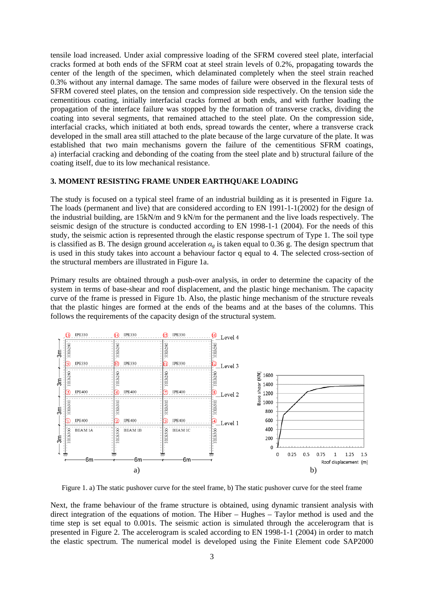tensile load increased. Under axial compressive loading of the SFRM covered steel plate, interfacial cracks formed at both ends of the SFRM coat at steel strain levels of 0.2%, propagating towards the center of the length of the specimen, which delaminated completely when the steel strain reached 0.3% without any internal damage. The same modes of failure were observed in the flexural tests of SFRM covered steel plates, on the tension and compression side respectively. On the tension side the cementitious coating, initially interfacial cracks formed at both ends, and with further loading the propagation of the interface failure was stopped by the formation of transverse cracks, dividing the coating into several segments, that remained attached to the steel plate. On the compression side, interfacial cracks, which initiated at both ends, spread towards the center, where a transverse crack developed in the small area still attached to the plate because of the large curvature of the plate. It was established that two main mechanisms govern the failure of the cementitious SFRM coatings, a) interfacial cracking and debonding of the coating from the steel plate and b) structural failure of the coating itself, due to its low mechanical resistance.

#### **3. MOMENT RESISTING FRAME UNDER EARTHQUAKE LOADING**

The study is focused on a typical steel frame of an industrial building as it is presented in Figure 1a. The loads (permanent and live) that are considered according to EN 1991-1-1(2002) for the design of the industrial building, are 15kN/m and 9 kN/m for the permanent and the live loads respectively. The seismic design of the structure is conducted according to EN 1998-1-1 (2004). For the needs of this study, the seismic action is represented through the elastic response spectrum of Type 1. The soil type is classified as B. The design ground acceleration  $\alpha_g$  is taken equal to 0.36 g. The design spectrum that is used in this study takes into account a behaviour factor q equal to 4. The selected cross-section of the structural members are illustrated in Figure 1a.

Primary results are obtained through a push-over analysis, in order to determine the capacity of the system in terms of base-shear and roof displacement, and the plastic hinge mechanism. The capacity curve of the frame is pressed in Figure 1b. Also, the plastic hinge mechanism of the structure reveals that the plastic hinges are formed at the ends of the beams and at the bases of the columns. This follows the requirements of the capacity design of the structural system.



Figure 1. a) The static pushover curve for the steel frame, b) The static pushover curve for the steel frame

Next, the frame behaviour of the frame structure is obtained, using dynamic transient analysis with direct integration of the equations of motion. The Hiber – Hughes – Taylor method is used and the time step is set equal to 0.001s. The seismic action is simulated through the accelerogram that is presented in Figure 2. The accelerogram is scaled according to EN 1998-1-1 (2004) in order to match the elastic spectrum. The numerical model is developed using the Finite Element code SAP2000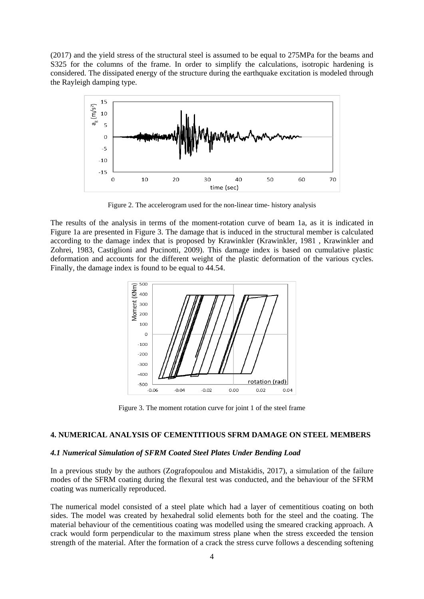(2017) and the yield stress of the structural steel is assumed to be equal to 275MPa for the beams and S325 for the columns of the frame. In order to simplify the calculations, isotropic hardening is considered. The dissipated energy of the structure during the earthquake excitation is modeled through the Rayleigh damping type.



Figure 2. The accelerogram used for the non-linear time- history analysis

The results of the analysis in terms of the moment-rotation curve of beam 1a, as it is indicated in Figure 1a are presented in Figure 3. The damage that is induced in the structural member is calculated according to the damage index that is proposed by Krawinkler (Krawinkler, 1981 , Krawinkler and Zohrei, 1983, Castiglioni and Pucinotti, 2009). This damage index is based on cumulative plastic deformation and accounts for the different weight of the plastic deformation of the various cycles. Finally, the damage index is found to be equal to 44.54.



Figure 3. The moment rotation curve for joint 1 of the steel frame

## **4. NUMERICAL ANALYSIS OF CEMENTITIOUS SFRM DAMAGE ON STEEL MEMBERS**

#### *4.1 Numerical Simulation of SFRM Coated Steel Plates Under Bending Load*

In a previous study by the authors (Zografopoulou and Mistakidis, 2017), a simulation of the failure modes of the SFRM coating during the flexural test was conducted, and the behaviour of the SFRM coating was numerically reproduced.

The numerical model consisted of a steel plate which had a layer of cementitious coating on both sides. The model was created by hexahedral solid elements both for the steel and the coating. The material behaviour of the cementitious coating was modelled using the smeared cracking approach. A crack would form perpendicular to the maximum stress plane when the stress exceeded the tension strength of the material. After the formation of a crack the stress curve follows a descending softening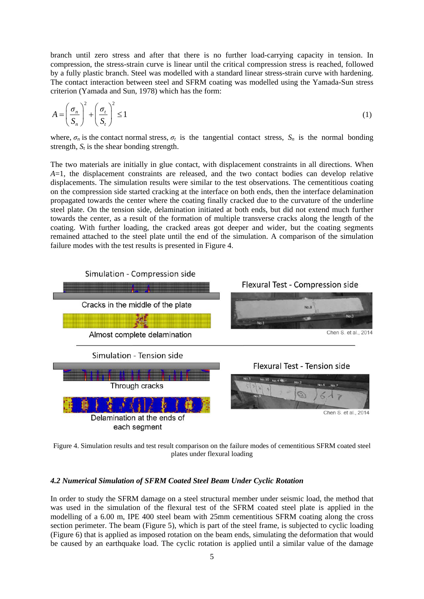branch until zero stress and after that there is no further load-carrying capacity in tension. In compression, the stress-strain curve is linear until the critical compression stress is reached, followed by a fully plastic branch. Steel was modelled with a standard linear stress-strain curve with hardening. The contact interaction between steel and SFRM coating was modelled using the Yamada-Sun stress criterion (Yamada and Sun, 1978) which has the form:

$$
A = \left(\frac{\sigma_n}{S_n}\right)^2 + \left(\frac{\sigma_t}{S_t}\right)^2 \le 1\tag{1}
$$

where,  $\sigma_n$  is the contact normal stress,  $\sigma_t$  is the tangential contact stress,  $S_n$  is the normal bonding strength,  $S_t$  is the shear bonding strength.

The two materials are initially in glue contact, with displacement constraints in all directions. When *A*=1, the displacement constraints are released, and the two contact bodies can develop relative displacements. The simulation results were similar to the test observations. The cementitious coating on the compression side started cracking at the interface on both ends, then the interface delamination propagated towards the center where the coating finally cracked due to the curvature of the underline steel plate. On the tension side, delamination initiated at both ends, but did not extend much further towards the center, as a result of the formation of multiple transverse cracks along the length of the coating. With further loading, the cracked areas got deeper and wider, but the coating segments remained attached to the steel plate until the end of the simulation. A comparison of the simulation failure modes with the test results is presented in Figure 4.



Figure 4. Simulation results and test result comparison on the failure modes of cementitious SFRM coated steel plates under flexural loading

#### *4.2 Numerical Simulation of SFRM Coated Steel Beam Under Cyclic Rotation*

In order to study the SFRM damage on a steel structural member under seismic load, the method that was used in the simulation of the flexural test of the SFRM coated steel plate is applied in the modelling of a 6.00 m, IPE 400 steel beam with 25mm cementitious SFRM coating along the cross section perimeter. The beam (Figure 5), which is part of the steel frame, is subjected to cyclic loading (Figure 6) that is applied as imposed rotation on the beam ends, simulating the deformation that would be caused by an earthquake load. The cyclic rotation is applied until a similar value of the damage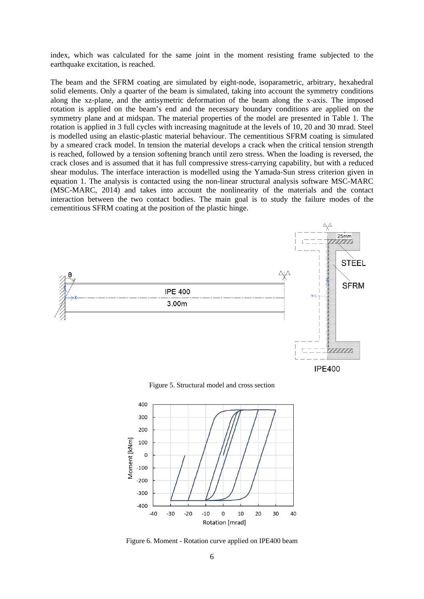index, which was calculated for the same joint in the moment resisting frame subjected to the earthquake excitation, is reached.

The beam and the SFRM coating are simulated by eight-node, isoparametric, arbitrary, hexahedral solid elements. Only a quarter of the beam is simulated, taking into account the symmetry conditions along the xz-plane, and the antisymetric deformation of the beam along the x-axis. The imposed rotation is applied on the beam's end and the necessary boundary conditions are applied on the symmetry plane and at midspan. The material properties of the model are presented in Table 1. The rotation is applied in 3 full cycles with increasing magnitude at the levels of 10, 20 and 30 mrad. Steel is modelled using an elastic-plastic material behaviour. The cementitious SFRM coating is simulated by a smeared crack model. In tension the material develops a crack when the critical tension strength is reached, followed by a tension softening branch until zero stress. When the loading is reversed, the crack closes and is assumed that it has full compressive stress-carrying capability, but with a reduced shear modulus. The interface interaction is modelled using the Yamada-Sun stress criterion given in equation 1. The analysis is contacted using the non-linear structural analysis software MSC-MARC (MSC-MARC, 2014) and takes into account the nonlinearity of the materials and the contact interaction between the two contact bodies. The main goal is to study the failure modes of the cementitious SFRM coating at the position of the plastic hinge.



Figure 5. Structural model and cross section



Figure 6. Moment - Rotation curve applied on IPE400 beam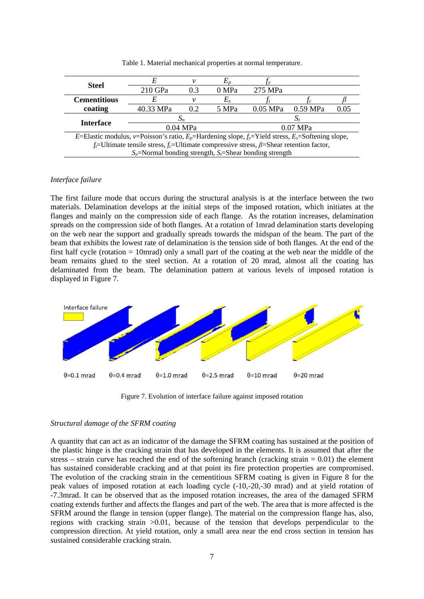| <b>Steel</b>                                                                                                        |           |          |         |            |          |      |  |  |
|---------------------------------------------------------------------------------------------------------------------|-----------|----------|---------|------------|----------|------|--|--|
|                                                                                                                     | 210 GPa   | 0.3      | 0 MPa   | 275 MPa    |          |      |  |  |
| <b>Cementitious</b>                                                                                                 | E         |          | $E_{s}$ |            |          |      |  |  |
| coating                                                                                                             | 40.33 MPa |          | 5 MPa   | $0.05$ MPa | 0.59 MPa | 0.05 |  |  |
| <b>Interface</b>                                                                                                    |           |          |         |            |          |      |  |  |
|                                                                                                                     |           | 0.04 MPa |         | 0.07 MPa   |          |      |  |  |
| E=Elastic modulus, v=Poisson's ratio, $E_p$ =Hardening slope, $f_y$ =Yield stress, E <sub>s</sub> =Softening slope, |           |          |         |            |          |      |  |  |
| $f_i$ =Ultimate tensile stress, $f_c$ =Ultimate compressive stress, $\beta$ =Shear retention factor,                |           |          |         |            |          |      |  |  |
| $S_n$ =Normal bonding strength, $S_n$ =Shear bonding strength                                                       |           |          |         |            |          |      |  |  |

Table 1. Material mechanical properties at normal temperature.

## *Interface failure*

The first failure mode that occurs during the structural analysis is at the interface between the two materials. Delamination develops at the initial steps of the imposed rotation, which initiates at the flanges and mainly on the compression side of each flange. As the rotation increases, delamination spreads on the compression side of both flanges. At a rotation of 1mrad delamination starts developing on the web near the support and gradually spreads towards the midspan of the beam. The part of the beam that exhibits the lowest rate of delamination is the tension side of both flanges. At the end of the first half cycle (rotation = 10mrad) only a small part of the coating at the web near the middle of the beam remains glued to the steel section. At a rotation of 20 mrad, almost all the coating has delaminated from the beam. The delamination pattern at various levels of imposed rotation is displayed in Figure 7.



Figure 7. Evolution of interface failure against imposed rotation

#### *Structural damage of the SFRM coating*

A quantity that can act as an indicator of the damage the SFRM coating has sustained at the position of the plastic hinge is the cracking strain that has developed in the elements. It is assumed that after the stress – strain curve has reached the end of the softening branch (cracking strain  $= 0.01$ ) the element has sustained considerable cracking and at that point its fire protection properties are compromised. The evolution of the cracking strain in the cementitious SFRM coating is given in Figure 8 for the peak values of imposed rotation at each loading cycle (-10,-20,-30 mrad) and at yield rotation of -7.3mrad. It can be observed that as the imposed rotation increases, the area of the damaged SFRM coating extends further and affects the flanges and part of the web. The area that is more affected is the SFRM around the flange in tension (upper flange). The material on the compression flange has, also, regions with cracking strain >0.01, because of the tension that develops perpendicular to the compression direction. At yield rotation, only a small area near the end cross section in tension has sustained considerable cracking strain.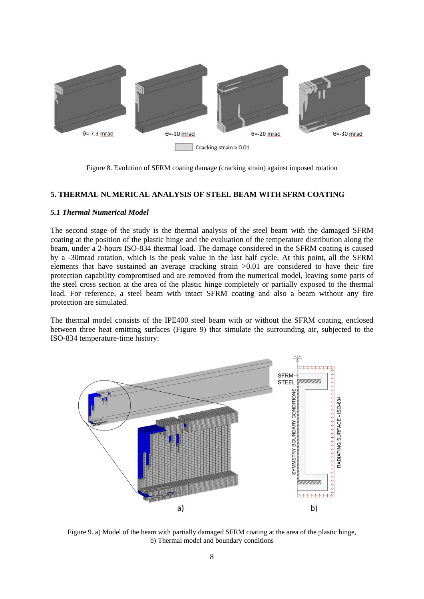

Figure 8. Evolution of SFRM coating damage (cracking strain) against imposed rotation

### **5. THERMAL NUMERICAL ANALYSIS OF STEEL BEAM WITH SFRM COATING**

#### *5.1 Thermal Numerical Model*

The second stage of the study is the thermal analysis of the steel beam with the damaged SFRM coating at the position of the plastic hinge and the evaluation of the temperature distribution along the beam, under a 2-hours ISO-834 thermal load. The damage considered in the SFRM coating is caused by a -30mrad rotation, which is the peak value in the last half cycle. At this point, all the SFRM elements that have sustained an average cracking strain >0.01 are considered to have their fire protection capability compromised and are removed from the numerical model, leaving some parts of the steel cross section at the area of the plastic hinge completely or partially exposed to the thermal load. For reference, a steel beam with intact SFRM coating and also a beam without any fire protection are simulated.

The thermal model consists of the IPE400 steel beam with or without the SFRM coating, enclosed between three heat emitting surfaces (Figure 9) that simulate the surrounding air, subjected to the ISO-834 temperature-time history.



Figure 9. a) Model of the beam with partially damaged SFRM coating at the area of the plastic hinge, b) Thermal model and boundary conditions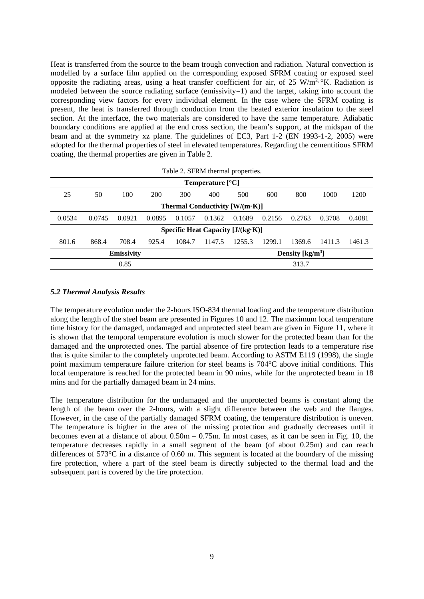Heat is transferred from the source to the beam trough convection and radiation. Natural convection is modelled by a surface film applied on the corresponding exposed SFRM coating or exposed steel opposite the radiating areas, using a heat transfer coefficient for air, of  $25 \text{ W/m}^2$ . <sup>o</sup>K. Radiation is modeled between the source radiating surface (emissivity=1) and the target, taking into account the corresponding view factors for every individual element. In the case where the SFRM coating is present, the heat is transferred through conduction from the heated exterior insulation to the steel section. At the interface, the two materials are considered to have the same temperature. Adiabatic boundary conditions are applied at the end cross section, the beam's support, at the midspan of the beam and at the symmetry xz plane. The guidelines of EC3, Part 1-2 (EN 1993-1-2, 2005) were adopted for the thermal properties of steel in elevated temperatures. Regarding the cementitious SFRM coating, the thermal properties are given in Table 2.

|  |  | Table 2. SFRM thermal properties. |  |
|--|--|-----------------------------------|--|
|  |  |                                   |  |

| <b>Temperature</b> $[^{\circ}C]$    |        |        |        |        |        |                                                     |        |        |        |        |
|-------------------------------------|--------|--------|--------|--------|--------|-----------------------------------------------------|--------|--------|--------|--------|
| 25                                  | 50     | 100    | 200    | 300    | 400    | 500                                                 | 600    | 800    | 1000   | 1200   |
| Thermal Conductivity [W/(m·K)]      |        |        |        |        |        |                                                     |        |        |        |        |
| 0.0534                              | 0.0745 | 0.0921 | 0.0895 | 0.1057 | 0.1362 | 0.1689                                              | 0.2156 | 0.2763 | 0.3708 | 0.4081 |
| Specific Heat Capacity $[J/(kg·K)]$ |        |        |        |        |        |                                                     |        |        |        |        |
| 801.6                               | 868.4  | 708.4  | 925.4  | 1084.7 | 1147.5 | 1255.3                                              | 1299.1 | 1369.6 | 1411.3 | 1461.3 |
| Emissivity                          |        |        |        |        |        | Density $\left[\frac{\text{kg}}{\text{m}^3}\right]$ |        |        |        |        |
| 0.85                                |        |        |        |        | 313.7  |                                                     |        |        |        |        |

## *5.2 Thermal Analysis Results*

The temperature evolution under the 2-hours ISO-834 thermal loading and the temperature distribution along the length of the steel beam are presented in Figures 10 and 12. The maximum local temperature time history for the damaged, undamaged and unprotected steel beam are given in Figure 11, where it is shown that the temporal temperature evolution is much slower for the protected beam than for the damaged and the unprotected ones. The partial absence of fire protection leads to a temperature rise that is quite similar to the completely unprotected beam. According to ASTM E119 (1998), the single point maximum temperature failure criterion for steel beams is 704°C above initial conditions. This local temperature is reached for the protected beam in 90 mins, while for the unprotected beam in 18 mins and for the partially damaged beam in 24 mins.

The temperature distribution for the undamaged and the unprotected beams is constant along the length of the beam over the 2-hours, with a slight difference between the web and the flanges. However, in the case of the partially damaged SFRM coating, the temperature distribution is uneven. The temperature is higher in the area of the missing protection and gradually decreases until it becomes even at a distance of about 0.50m – 0.75m. In most cases, as it can be seen in Fig. 10, the temperature decreases rapidly in a small segment of the beam (of about 0.25m) and can reach differences of 573°C in a distance of 0.60 m. This segment is located at the boundary of the missing fire protection, where a part of the steel beam is directly subjected to the thermal load and the subsequent part is covered by the fire protection.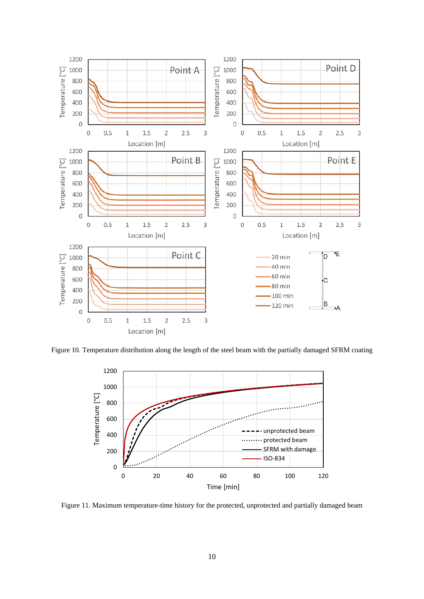

Figure 10. Temperature distribution along the length of the steel beam with the partially damaged SFRM coating



Figure 11. Maximum temperature-time history for the protected, unprotected and partially damaged beam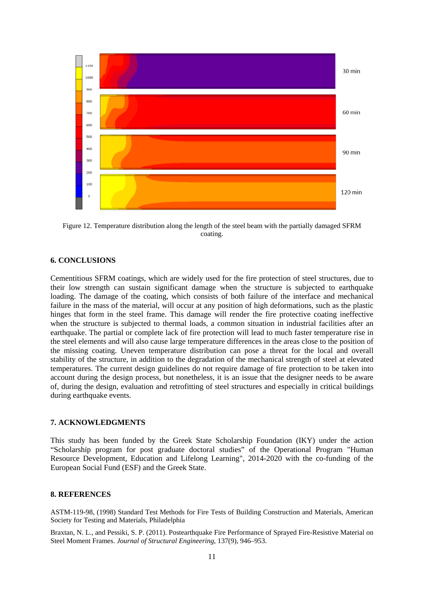

Figure 12. Temperature distribution along the length of the steel beam with the partially damaged SFRM coating.

## **6. CONCLUSIONS**

Cementitious SFRM coatings, which are widely used for the fire protection of steel structures, due to their low strength can sustain significant damage when the structure is subjected to earthquake loading. The damage of the coating, which consists of both failure of the interface and mechanical failure in the mass of the material, will occur at any position of high deformations, such as the plastic hinges that form in the steel frame. This damage will render the fire protective coating ineffective when the structure is subjected to thermal loads, a common situation in industrial facilities after an earthquake. The partial or complete lack of fire protection will lead to much faster temperature rise in the steel elements and will also cause large temperature differences in the areas close to the position of the missing coating. Uneven temperature distribution can pose a threat for the local and overall stability of the structure, in addition to the degradation of the mechanical strength of steel at elevated temperatures. The current design guidelines do not require damage of fire protection to be taken into account during the design process, but nonetheless, it is an issue that the designer needs to be aware of, during the design, evaluation and retrofitting of steel structures and especially in critical buildings during earthquake events.

#### **7. ACKNOWLEDGMENTS**

This study has been funded by the Greek State Scholarship Foundation (IKY) under the action "Scholarship program for post graduate doctoral studies" of the Operational Program "Human Resource Development, Education and Lifelong Learning", 2014-2020 with the co-funding of the European Social Fund (ESF) and the Greek State.

#### **8. REFERENCES**

ASTM-119-98, (1998) Standard Test Methods for Fire Tests of Building Construction and Materials, American Society for Testing and Materials, Philadelphia

Braxtan, N. L., and Pessiki, S. P. (2011). Postearthquake Fire Performance of Sprayed Fire-Resistive Material on Steel Moment Frames. *Journal of Structural Engineering*, 137(9), 946–953.